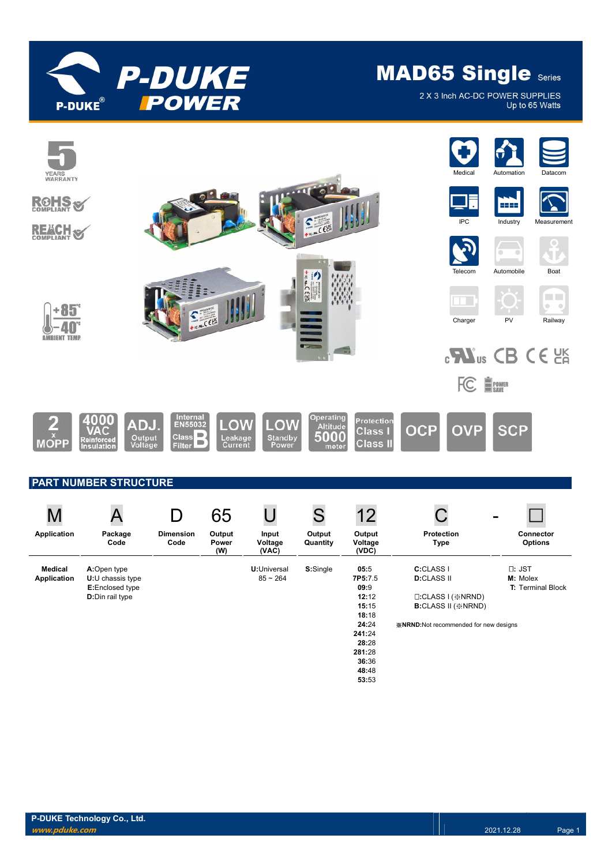

2 X 3 Inch AC-DC POWER SUPPLIES Up to 65 Watts

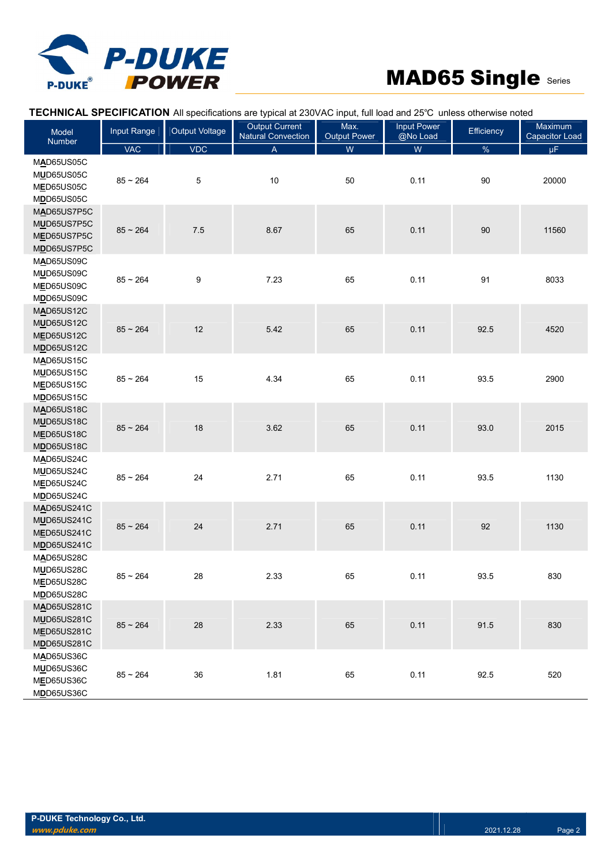

|                                                                           |             |                | TECHNICAL SPECIFICATION All specifications are typical at 230VAC input, full load and 25°C unless otherwise noted |                             |                                |            |                                  |
|---------------------------------------------------------------------------|-------------|----------------|-------------------------------------------------------------------------------------------------------------------|-----------------------------|--------------------------------|------------|----------------------------------|
| Model<br><b>Number</b>                                                    | Input Range | Output Voltage | <b>Output Current</b><br><b>Natural Convection</b>                                                                | Max.<br><b>Output Power</b> | <b>Input Power</b><br>@No Load | Efficiency | Maximum<br><b>Capacitor Load</b> |
|                                                                           | <b>VAC</b>  | VDC            | $\mathsf{A}$                                                                                                      | ${\sf W}$                   | ${\sf W}$                      | $\%$       | μF.                              |
| MAD65US05C<br>MUD65US05C<br>MED65US05C<br>MDD65US05C                      | $85 - 264$  | $\,$ 5 $\,$    | 10                                                                                                                | 50                          | 0.11                           | 90         | 20000                            |
| MAD65US7P5C<br>MUD65US7P5C<br>MED65US7P5C<br>MDD65US7P5C                  | $85 - 264$  | 7.5            | 8.67                                                                                                              | 65                          | 0.11                           | $90\,$     | 11560                            |
| MAD65US09C<br>MUD65US09C<br>MED65US09C<br>MDD65US09C                      | $85 - 264$  | 9              | 7.23                                                                                                              | 65                          | 0.11                           | 91         | 8033                             |
| MAD65US12C<br><b>MUD65US12C</b><br><b>MED65US12C</b><br><b>MDD65US12C</b> | $85 - 264$  | 12             | 5.42                                                                                                              | 65                          | 0.11                           | 92.5       | 4520                             |
| MAD65US15C<br>MUD65US15C<br><b>MED65US15C</b><br>MDD65US15C               | $85 - 264$  | 15             | 4.34                                                                                                              | 65                          | 0.11                           | 93.5       | 2900                             |
| <b>MAD65US18C</b><br><b>MUD65US18C</b><br><b>MED65US18C</b><br>MDD65US18C | $85 - 264$  | 18             | 3.62                                                                                                              | 65                          | 0.11                           | 93.0       | 2015                             |
| MAD65US24C<br>MUD65US24C<br>MED65US24C<br>MDD65US24C                      | $85 - 264$  | 24             | 2.71                                                                                                              | 65                          | 0.11                           | 93.5       | 1130                             |
| MAD65US241C<br><b>MUD65US241C</b><br><b>MED65US241C</b><br>MDD65US241C    | $85 - 264$  | 24             | 2.71                                                                                                              | 65                          | 0.11                           | 92         | 1130                             |
| MAD65US28C<br>MUD65US28C<br>MED65US28C<br>MDD65US28C                      | $85 - 264$  | 28             | 2.33                                                                                                              | 65                          | 0.11                           | 93.5       | 830                              |
| MAD65US281C<br><b>MUD65US281C</b><br>MED65US281C<br>MDD65US281C           | $85 - 264$  | 28             | 2.33                                                                                                              | 65                          | 0.11                           | 91.5       | 830                              |
| MAD65US36C<br>MUD65US36C<br>MED65US36C<br>MDD65US36C                      | $85 - 264$  | 36             | 1.81                                                                                                              | 65                          | 0.11                           | 92.5       | 520                              |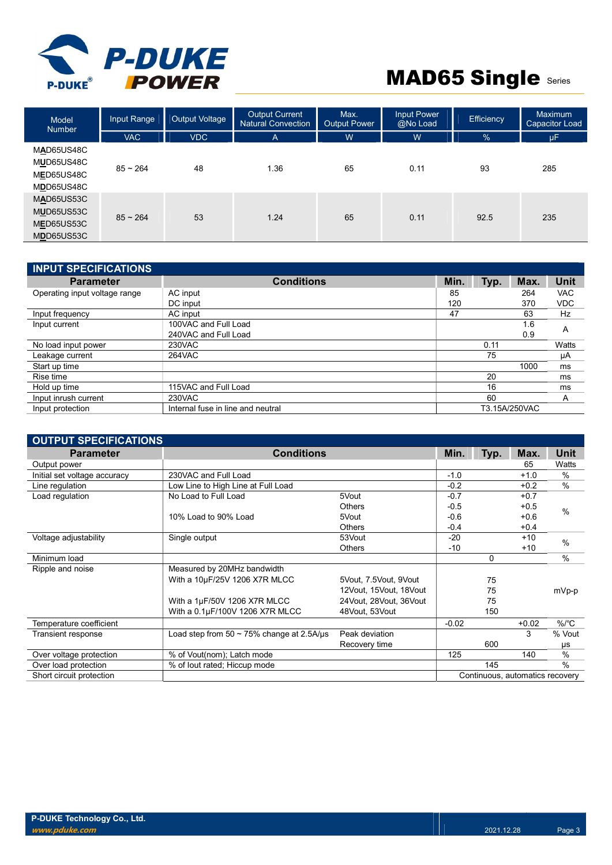

| <b>Model</b><br><b>Number</b>                        | Input Range | Output Voltage | <b>Output Current</b><br>Natural Convection | Max.<br><b>Output Power</b> | <b>Input Power</b><br>@No Load | Efficiency    | Maximum<br><b>Capacitor Load</b> |
|------------------------------------------------------|-------------|----------------|---------------------------------------------|-----------------------------|--------------------------------|---------------|----------------------------------|
|                                                      | <b>VAC</b>  | <b>VDC</b>     | A                                           | W                           | W                              | $\frac{9}{6}$ | μF                               |
| MAD65US48C<br>MUD65US48C<br>MED65US48C<br>MDD65US48C | $85 - 264$  | 48             | 1.36                                        | 65                          | 0.11                           | 93            | 285                              |
| MAD65US53C<br>MUD65US53C<br>MED65US53C<br>MDD65US53C | $85 - 264$  | 53             | 1.24                                        | 65                          | 0.11                           | 92.5          | 235                              |

| <b>INPUT SPECIFICATIONS</b>   |                                   |      |      |               |            |
|-------------------------------|-----------------------------------|------|------|---------------|------------|
| <b>Parameter</b>              | <b>Conditions</b>                 | Min. | Typ. | Max.          | Unit       |
| Operating input voltage range | AC input                          | 85   |      | 264           | <b>VAC</b> |
|                               | DC input                          | 120  |      | 370           | <b>VDC</b> |
| Input frequency               | AC input                          | 47   |      | 63            | Hz         |
| Input current                 | 100VAC and Full Load              |      |      | 1.6           | A          |
|                               | 240VAC and Full Load              |      |      | 0.9           |            |
| No load input power           | 230VAC                            |      | 0.11 |               | Watts      |
| Leakage current               | 264VAC                            |      | 75   |               | μA         |
| Start up time                 |                                   |      |      | 1000          | ms         |
| Rise time                     |                                   |      | 20   |               | ms         |
| Hold up time                  | 115VAC and Full Load              |      | 16   |               | ms         |
| Input inrush current          | 230VAC                            |      | 60   |               | A          |
| Input protection              | Internal fuse in line and neutral |      |      | T3.15A/250VAC |            |

| <b>OUTPUT SPECIFICATIONS</b> |                                                |                           |         |          |                                 |             |  |
|------------------------------|------------------------------------------------|---------------------------|---------|----------|---------------------------------|-------------|--|
| <b>Parameter</b>             | <b>Conditions</b>                              |                           | Min.    | Typ.     | Max.                            | <b>Unit</b> |  |
| Output power                 |                                                |                           |         |          | 65                              | Watts       |  |
| Initial set voltage accuracy | 230VAC and Full Load                           |                           | $-1.0$  |          | $+1.0$                          | %           |  |
| Line regulation              | Low Line to High Line at Full Load             |                           | $-0.2$  |          | $+0.2$                          | %           |  |
| Load regulation              | No Load to Full Load                           | 5Vout                     | $-0.7$  |          | $+0.7$                          |             |  |
|                              |                                                | <b>Others</b>             | $-0.5$  |          | $+0.5$                          | $\%$        |  |
|                              | 10% Load to 90% Load                           | 5Vout                     | $-0.6$  |          | $+0.6$                          |             |  |
|                              |                                                | <b>Others</b>             | $-0.4$  |          | $+0.4$                          |             |  |
| Voltage adjustability        | Single output                                  | 53Vout                    | $-20$   |          | $+10$                           | $\%$        |  |
|                              |                                                | <b>Others</b>             | -10     |          | $+10$                           |             |  |
| Minimum load                 |                                                |                           |         | $\Omega$ |                                 | $\%$        |  |
| Ripple and noise             | Measured by 20MHz bandwidth                    |                           |         |          |                                 |             |  |
|                              | With a 10µF/25V 1206 X7R MLCC                  | 5Vout, 7.5Vout, 9Vout     |         | 75       |                                 |             |  |
|                              |                                                | 12Vout, 15Vout, 18Vout    |         | 75       |                                 | mVp-p       |  |
|                              | With a 1µF/50V 1206 X7R MLCC                   | 24 Vout. 28 Vout. 36 Vout |         | 75       |                                 |             |  |
|                              | With a 0.1µF/100V 1206 X7R MLCC                | 48Vout, 53Vout            |         | 150      |                                 |             |  |
| Temperature coefficient      |                                                |                           | $-0.02$ |          | $+0.02$                         | $\%$ /°C    |  |
| Transient response           | Load step from 50 $\sim$ 75% change at 2.5A/us | Peak deviation            |         |          | 3                               | % Vout      |  |
|                              |                                                | Recovery time             |         | 600      |                                 | μs          |  |
| Over voltage protection      | % of Vout(nom); Latch mode                     |                           | 125     |          | 140                             | $\%$        |  |
| Over load protection         | % of lout rated; Hiccup mode                   |                           |         | 145      |                                 | $\%$        |  |
| Short circuit protection     |                                                |                           |         |          | Continuous, automatics recovery |             |  |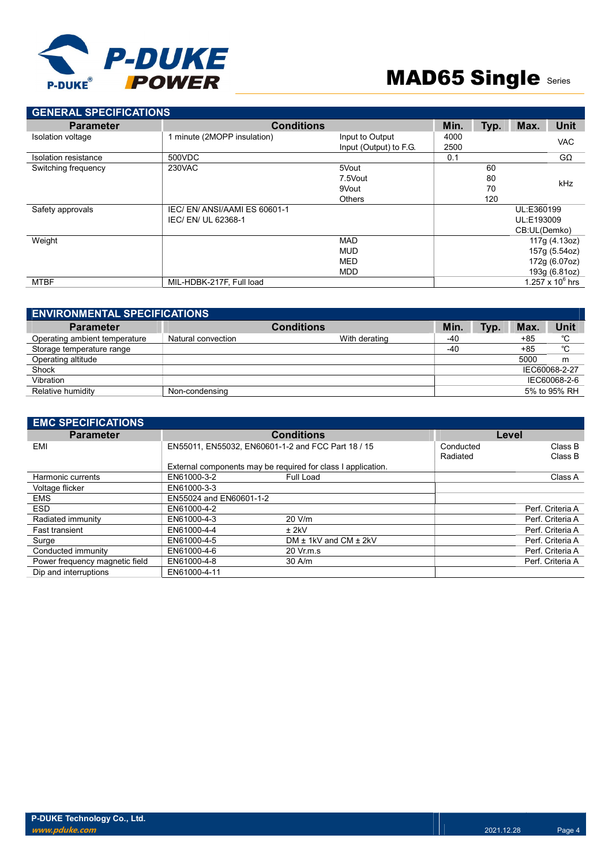

| <b>GENERAL SPECIFICATIONS</b> |                             |                        |      |      |              |                    |
|-------------------------------|-----------------------------|------------------------|------|------|--------------|--------------------|
| <b>Parameter</b>              | <b>Conditions</b>           |                        | Min. | Typ. | Max.         | Unit               |
| Isolation voltage             | 1 minute (2MOPP insulation) | Input to Output        | 4000 |      |              | <b>VAC</b>         |
|                               |                             | Input (Output) to F.G. | 2500 |      |              |                    |
| Isolation resistance          | 500VDC                      |                        | 0.1  |      |              | $G\Omega$          |
| Switching frequency           | 230VAC                      | 5Vout                  |      | 60   |              |                    |
|                               |                             | 7.5Vout                |      | 80   |              | <b>kHz</b>         |
|                               |                             | 9Vout                  |      | 70   |              |                    |
|                               |                             | <b>Others</b>          |      | 120  |              |                    |
| Safety approvals              | IEC/EN/ANSI/AAMIES 60601-1  |                        |      |      | UL:E360199   |                    |
|                               | IEC/EN/UL 62368-1           |                        |      |      | UL:E193009   |                    |
|                               |                             |                        |      |      | CB:UL(Demko) |                    |
| Weight                        |                             | <b>MAD</b>             |      |      |              | 117g (4.13oz)      |
|                               |                             | <b>MUD</b>             |      |      |              | 157g (5.54oz)      |
|                               |                             | <b>MED</b>             |      |      |              | 172g (6.07oz)      |
|                               |                             | <b>MDD</b>             |      |      |              | 193g (6.81oz)      |
| <b>MTBF</b>                   | MIL-HDBK-217F, Full load    |                        |      |      |              | 1.257 x $10^6$ hrs |

| <b>ENVIRONMENTAL SPECIFICATIONS</b> |                    |                   |               |      |       |      |
|-------------------------------------|--------------------|-------------------|---------------|------|-------|------|
| <b>Parameter</b>                    |                    | <b>Conditions</b> | Min.          | Typ. | Max.  | Unit |
| Operating ambient temperature       | Natural convection | With derating     | -40           |      | +85   | °C   |
| Storage temperature range           |                    |                   | $-40$         |      | $+85$ | °C   |
| Operating altitude                  |                    |                   |               |      | 5000  | m    |
| Shock                               |                    |                   | IEC60068-2-27 |      |       |      |
| Vibration                           |                    |                   | IEC60068-2-6  |      |       |      |
| Relative humidity                   | Non-condensing     |                   | 5% to 95% RH  |      |       |      |

| <b>EMC SPECIFICATIONS</b>      |                         |                                                              |           |                  |
|--------------------------------|-------------------------|--------------------------------------------------------------|-----------|------------------|
| <b>Parameter</b>               |                         | <b>Conditions</b>                                            | Level     |                  |
| EMI                            |                         | EN55011, EN55032, EN60601-1-2 and FCC Part 18 / 15           | Conducted | Class B          |
|                                |                         |                                                              | Radiated  | Class B          |
|                                |                         | External components may be required for class I application. |           |                  |
| Harmonic currents              | EN61000-3-2             | Full Load                                                    |           | Class A          |
| Voltage flicker                | EN61000-3-3             |                                                              |           |                  |
| <b>EMS</b>                     | EN55024 and EN60601-1-2 |                                                              |           |                  |
| ESD.                           | EN61000-4-2             |                                                              |           | Perf. Criteria A |
| Radiated immunity              | EN61000-4-3             | 20 V/m                                                       |           | Perf. Criteria A |
| <b>Fast transient</b>          | EN61000-4-4             | $±$ 2kV                                                      |           | Perf. Criteria A |
| Surge                          | EN61000-4-5             | DM $\pm$ 1kV and CM $\pm$ 2kV                                |           | Perf. Criteria A |
| Conducted immunity             | EN61000-4-6             | $20 \,$ Vr.m.s                                               |           | Perf. Criteria A |
| Power frequency magnetic field | EN61000-4-8             | 30 A/m                                                       |           | Perf. Criteria A |
| Dip and interruptions          | EN61000-4-11            |                                                              |           |                  |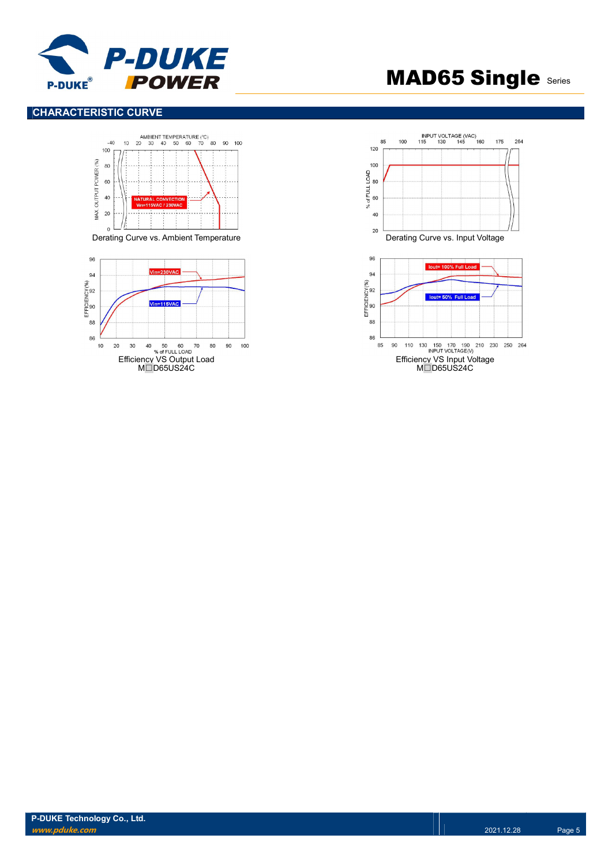

### CHARACTERISTIC CURVE





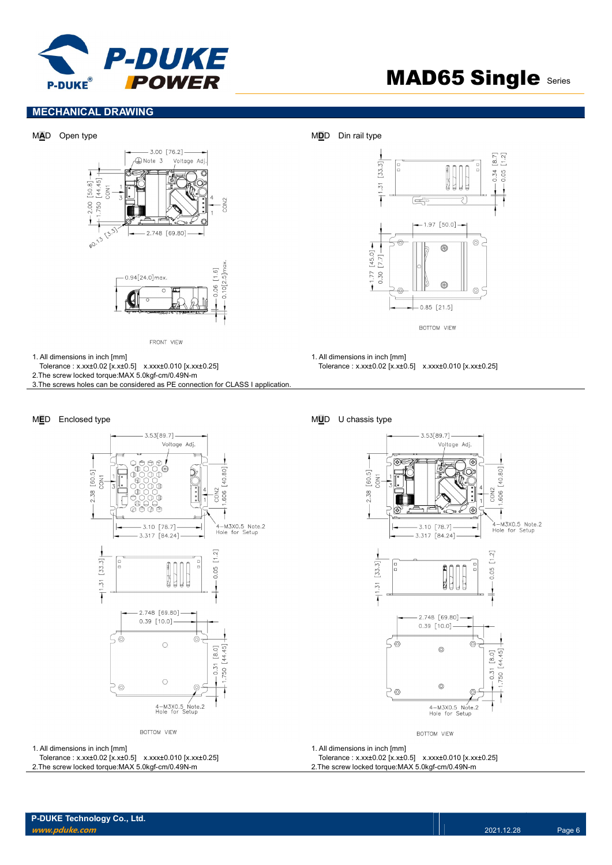

 $[8.7]$ 

 $0.34$ 0.05

### MECHANICAL DRAWING



FRONT VIEW

1. All dimensions in inch [mm]

Tolerance : x.xx±0.02 [x.x±0.5] x.xxx±0.010 [x.xx±0.25]

2.The screw locked torque:MAX 5.0kgf-cm/0.49N-m

3.The screws holes can be considered as PE connection for CLASS I application.





BOTTOM VIEW

1. All dimensions in inch [mm] Tolerance : x.xx±0.02 [x.x±0.5] x.xxx±0.010 [x.xx±0.25]

#### MED Enclosed type **MUD** U chassis type





BOTTOM VIEW

1. All dimensions in inch [mm]

Tolerance : x.xx±0.02 [x.x±0.5] x.xxx±0.010 [x.xx±0.25] 2.The screw locked torque:MAX 5.0kgf-cm/0.49N-m

### 1. All dimensions in inch [mm]

Tolerance : x.xx±0.02 [x.x±0.5] x.xxx±0.010 [x.xx±0.25] 2.The screw locked torque:MAX 5.0kgf-cm/0.49N-m

BOTTOM VIEW